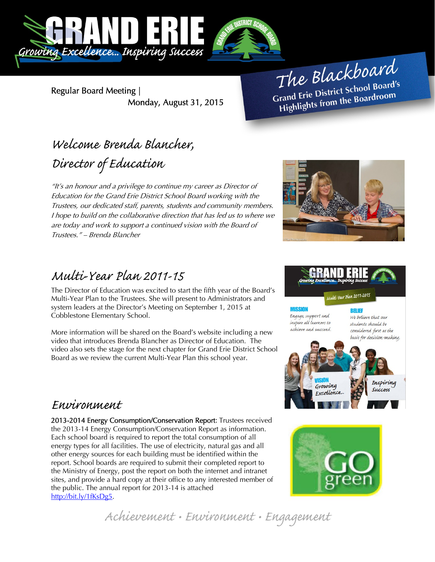

Regular Board Meeting | Monday, August 31, 2015

The Blackboard The Burnor<br>Grand Erie District School Board's<br>Lite from the Boardroom rand Erie District School Board<br>Highlights from the Boardroom

# Welcome Brenda Blancher, Director of Education

"It's an honour and a privilege to continue my career as Director of Education for the Grand Erie District School Board working with the Trustees, our dedicated staff, parents, students and community members. I hope to build on the collaborative direction that has led us to where we are today and work to support a continued vision with the Board of Trustees." – Brenda Blancher



## Multi-Year Plan 2011-15

The Director of Education was excited to start the fifth year of the Board's Multi-Year Plan to the Trustees. She will present to Administrators and system leaders at the Director's Meeting on September 1, 2015 at Cobblestone Elementary School.

More information will be shared on the Board's website including a new video that introduces Brenda Blancher as Director of Education. The video also sets the stage for the next chapter for Grand Erie District School Board as we review the current Multi-Year Plan this school year.

### Environment

2013-2014 Energy Consumption/Conservation Report: Trustees received the 2013-14 Energy Consumption/Conservation Report as information. Each school board is required to report the total consumption of all energy types for all facilities. The use of electricity, natural gas and all other energy sources for each building must be identified within the report. School boards are required to submit their completed report to the Ministry of Energy, post the report on both the internet and intranet sites, and provide a hard copy at their office to any interested member of the public. The annual report for 2013-14 is attached http://bit.ly/1fKsDg5.





Achievement • Environment • Engagement